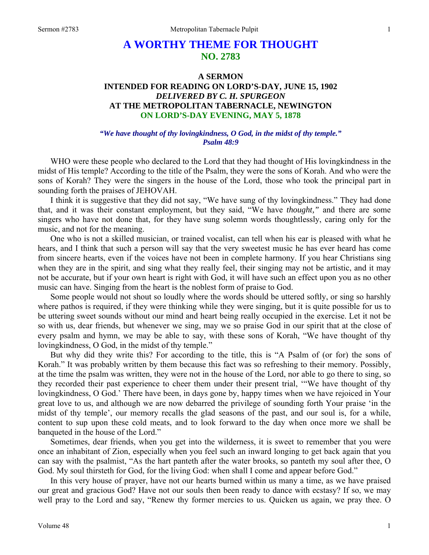# **A WORTHY THEME FOR THOUGHT NO. 2783**

## **A SERMON INTENDED FOR READING ON LORD'S-DAY, JUNE 15, 1902**  *DELIVERED BY C. H. SPURGEON*  **AT THE METROPOLITAN TABERNACLE, NEWINGTON ON LORD'S-DAY EVENING, MAY 5, 1878**

#### *"We have thought of thy lovingkindness, O God, in the midst of thy temple." Psalm 48:9*

WHO were these people who declared to the Lord that they had thought of His lovingkindness in the midst of His temple? According to the title of the Psalm, they were the sons of Korah. And who were the sons of Korah? They were the singers in the house of the Lord, those who took the principal part in sounding forth the praises of JEHOVAH.

I think it is suggestive that they did not say, "We have sung of thy lovingkindness." They had done that, and it was their constant employment, but they said, "We have *thought,"* and there are some singers who have not done that, for they have sung solemn words thoughtlessly, caring only for the music, and not for the meaning.

One who is not a skilled musician, or trained vocalist, can tell when his ear is pleased with what he hears, and I think that such a person will say that the very sweetest music he has ever heard has come from sincere hearts, even if the voices have not been in complete harmony. If you hear Christians sing when they are in the spirit, and sing what they really feel, their singing may not be artistic, and it may not be accurate, but if your own heart is right with God, it will have such an effect upon you as no other music can have. Singing from the heart is the noblest form of praise to God.

Some people would not shout so loudly where the words should be uttered softly, or sing so harshly where pathos is required, if they were thinking while they were singing, but it is quite possible for us to be uttering sweet sounds without our mind and heart being really occupied in the exercise. Let it not be so with us, dear friends, but whenever we sing, may we so praise God in our spirit that at the close of every psalm and hymn, we may be able to say, with these sons of Korah, "We have thought of thy lovingkindness, O God, in the midst of thy temple."

But why did they write this? For according to the title, this is "A Psalm of (or for) the sons of Korah." It was probably written by them because this fact was so refreshing to their memory. Possibly, at the time the psalm was written, they were not in the house of the Lord, nor able to go there to sing, so they recorded their past experience to cheer them under their present trial, '"We have thought of thy lovingkindness, O God.' There have been, in days gone by, happy times when we have rejoiced in Your great love to us, and although we are now debarred the privilege of sounding forth Your praise 'in the midst of thy temple', our memory recalls the glad seasons of the past, and our soul is, for a while, content to sup upon these cold meats, and to look forward to the day when once more we shall be banqueted in the house of the Lord."

Sometimes, dear friends, when you get into the wilderness, it is sweet to remember that you were once an inhabitant of Zion, especially when you feel such an inward longing to get back again that you can say with the psalmist, "As the hart panteth after the water brooks, so panteth my soul after thee, O God. My soul thirsteth for God, for the living God: when shall I come and appear before God."

In this very house of prayer, have not our hearts burned within us many a time, as we have praised our great and gracious God? Have not our souls then been ready to dance with ecstasy? If so, we may well pray to the Lord and say, "Renew thy former mercies to us. Quicken us again, we pray thee. O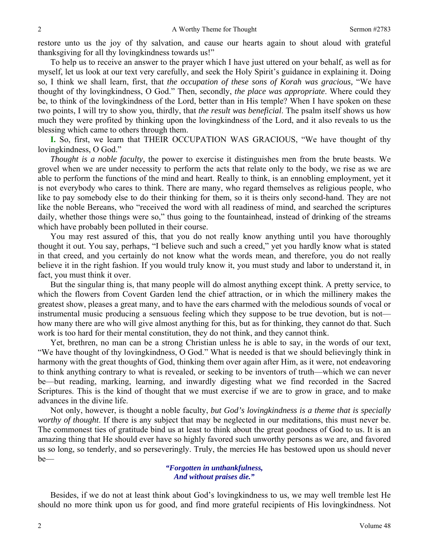restore unto us the joy of thy salvation, and cause our hearts again to shout aloud with grateful thanksgiving for all thy lovingkindness towards us!"

To help us to receive an answer to the prayer which I have just uttered on your behalf, as well as for myself, let us look at our text very carefully, and seek the Holy Spirit's guidance in explaining it. Doing so, I think we shall learn, first, that *the occupation of these sons of Korah was gracious,* "We have thought of thy lovingkindness, O God." Then, secondly, *the place was appropriate*. Where could they be, to think of the lovingkindness of the Lord, better than in His temple? When I have spoken on these two points, I will try to show you, thirdly, that *the result was beneficial*. The psalm itself shows us how much they were profited by thinking upon the lovingkindness of the Lord, and it also reveals to us the blessing which came to others through them.

**I.** So, first, we learn that THEIR OCCUPATION WAS GRACIOUS, "We have thought of thy lovingkindness, O God."

*Thought is a noble faculty,* the power to exercise it distinguishes men from the brute beasts. We grovel when we are under necessity to perform the acts that relate only to the body, we rise as we are able to perform the functions of the mind and heart. Really to think, is an ennobling employment, yet it is not everybody who cares to think. There are many, who regard themselves as religious people, who like to pay somebody else to do their thinking for them, so it is theirs only second-hand. They are not like the noble Bereans, who "received the word with all readiness of mind, and searched the scriptures daily, whether those things were so," thus going to the fountainhead, instead of drinking of the streams which have probably been polluted in their course.

You may rest assured of this, that you do not really know anything until you have thoroughly thought it out. You say, perhaps, "I believe such and such a creed," yet you hardly know what is stated in that creed, and you certainly do not know what the words mean, and therefore, you do not really believe it in the right fashion. If you would truly know it, you must study and labor to understand it, in fact, you must think it over.

But the singular thing is, that many people will do almost anything except think. A pretty service, to which the flowers from Covent Garden lend the chief attraction, or in which the millinery makes the greatest show, pleases a great many, and to have the ears charmed with the melodious sounds of vocal or instrumental music producing a sensuous feeling which they suppose to be true devotion, but is not how many there are who will give almost anything for this, but as for thinking, they cannot do that. Such work is too hard for their mental constitution, they do not think, and they cannot think.

Yet, brethren, no man can be a strong Christian unless he is able to say, in the words of our text, "We have thought of thy lovingkindness, O God." What is needed is that we should believingly think in harmony with the great thoughts of God, thinking them over again after Him, as it were, not endeavoring to think anything contrary to what is revealed, or seeking to be inventors of truth—which we can never be—but reading, marking, learning, and inwardly digesting what we find recorded in the Sacred Scriptures. This is the kind of thought that we must exercise if we are to grow in grace, and to make advances in the divine life.

Not only, however, is thought a noble faculty, *but God's lovingkindness is a theme that is specially worthy of thought*. If there is any subject that may be neglected in our meditations, this must never be. The commonest ties of gratitude bind us at least to think about the great goodness of God to us. It is an amazing thing that He should ever have so highly favored such unworthy persons as we are, and favored us so long, so tenderly, and so perseveringly. Truly, the mercies He has bestowed upon us should never be—

> *"Forgotten in unthankfulness, And without praises die."*

Besides, if we do not at least think about God's lovingkindness to us, we may well tremble lest He should no more think upon us for good, and find more grateful recipients of His lovingkindness. Not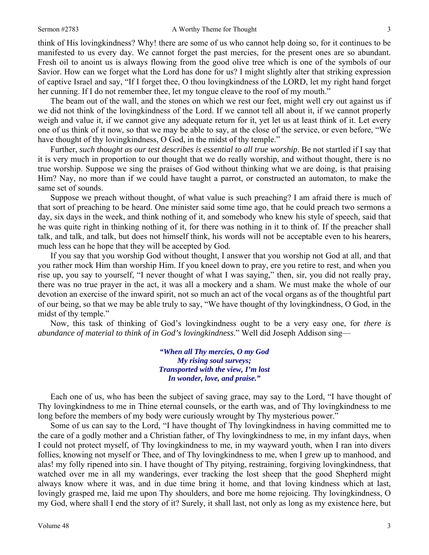think of His lovingkindness? Why! there are some of us who cannot help doing so, for it continues to be manifested to us every day. We cannot forget the past mercies, for the present ones are so abundant. Fresh oil to anoint us is always flowing from the good olive tree which is one of the symbols of our Savior. How can we forget what the Lord has done for us? I might slightly alter that striking expression of captive Israel and say, "If I forget thee, O thou lovingkindness of the LORD, let my right hand forget her cunning. If I do not remember thee, let my tongue cleave to the roof of my mouth."

The beam out of the wall, and the stones on which we rest our feet, might well cry out against us if we did not think of the lovingkindness of the Lord. If we cannot tell all about it, if we cannot properly weigh and value it, if we cannot give any adequate return for it, yet let us at least think of it. Let every one of us think of it now, so that we may be able to say, at the close of the service, or even before, "We have thought of thy loving kindness, O God, in the midst of thy temple."

Further, *such thought as our test describes is essential to all true worship*. Be not startled if I say that it is very much in proportion to our thought that we do really worship, and without thought, there is no true worship. Suppose we sing the praises of God without thinking what we are doing, is that praising Him? Nay, no more than if we could have taught a parrot, or constructed an automaton, to make the same set of sounds.

Suppose we preach without thought, of what value is such preaching? I am afraid there is much of that sort of preaching to be heard. One minister said some time ago, that he could preach two sermons a day, six days in the week, and think nothing of it, and somebody who knew his style of speech, said that he was quite right in thinking nothing of it, for there was nothing in it to think of. If the preacher shall talk, and talk, and talk, but does not himself think, his words will not be acceptable even to his hearers, much less can he hope that they will be accepted by God.

If you say that you worship God without thought, I answer that you worship not God at all, and that you rather mock Him than worship Him. If you kneel down to pray, ere you retire to rest, and when you rise up, you say to yourself, "I never thought of what I was saying," then, sir, you did not really pray, there was no true prayer in the act, it was all a mockery and a sham. We must make the whole of our devotion an exercise of the inward spirit, not so much an act of the vocal organs as of the thoughtful part of our being, so that we may be able truly to say, "We have thought of thy lovingkindness, O God, in the midst of thy temple."

Now, this task of thinking of God's lovingkindness ought to be a very easy one, for *there is abundance of material to think of in God's lovingkindness*." Well did Joseph Addison sing—

> *"When all Thy mercies, O my God My rising soul surveys; Transported with the view, I'm lost In wonder, love, and praise."*

Each one of us, who has been the subject of saving grace, may say to the Lord, "I have thought of Thy lovingkindness to me in Thine eternal counsels, or the earth was, and of Thy lovingkindness to me long before the members of my body were curiously wrought by Thy mysterious power."

Some of us can say to the Lord, "I have thought of Thy lovingkindness in having committed me to the care of a godly mother and a Christian father, of Thy lovingkindness to me, in my infant days, when I could not protect myself, of Thy lovingkindness to me, in my wayward youth, when I ran into divers follies, knowing not myself or Thee, and of Thy lovingkindness to me, when I grew up to manhood, and alas! my folly ripened into sin. I have thought of Thy pitying, restraining, forgiving lovingkindness, that watched over me in all my wanderings, ever tracking the lost sheep that the good Shepherd might always know where it was, and in due time bring it home, and that loving kindness which at last, lovingly grasped me, laid me upon Thy shoulders, and bore me home rejoicing. Thy lovingkindness, O my God, where shall I end the story of it? Surely, it shall last, not only as long as my existence here, but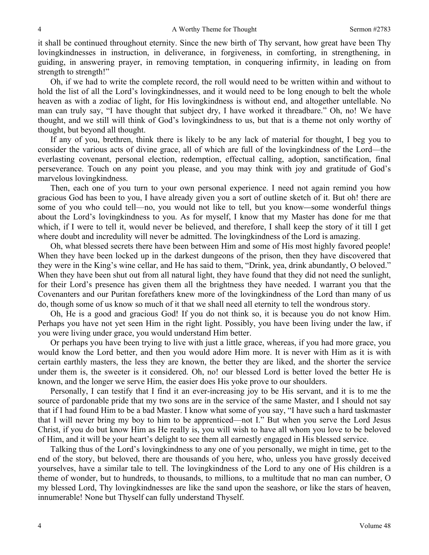it shall be continued throughout eternity. Since the new birth of Thy servant, how great have been Thy lovingkindnesses in instruction, in deliverance, in forgiveness, in comforting, in strengthening, in guiding, in answering prayer, in removing temptation, in conquering infirmity, in leading on from strength to strength!"

Oh, if we had to write the complete record, the roll would need to be written within and without to hold the list of all the Lord's lovingkindnesses, and it would need to be long enough to belt the whole heaven as with a zodiac of light, for His lovingkindness is without end, and altogether untellable. No man can truly say, "I have thought that subject dry, I have worked it threadbare." Oh, no! We have thought, and we still will think of God's lovingkindness to us, but that is a theme not only worthy of thought, but beyond all thought.

If any of you, brethren, think there is likely to be any lack of material for thought, I beg you to consider the various acts of divine grace, all of which are full of the lovingkindness of the Lord—the everlasting covenant, personal election, redemption, effectual calling, adoption, sanctification, final perseverance. Touch on any point you please, and you may think with joy and gratitude of God's marvelous lovingkindness.

Then, each one of you turn to your own personal experience. I need not again remind you how gracious God has been to you, I have already given you a sort of outline sketch of it. But oh! there are some of you who could tell—no, you would not like to tell, but you know*—*some wonderful things about the Lord's lovingkindness to you. As for myself, I know that my Master has done for me that which, if I were to tell it, would never be believed, and therefore, I shall keep the story of it till I get where doubt and incredulity will never be admitted. The lovingkindness of the Lord is amazing.

Oh, what blessed secrets there have been between Him and some of His most highly favored people! When they have been locked up in the darkest dungeons of the prison, then they have discovered that they were in the King's wine cellar, and He has said to them, "Drink, yea, drink abundantly, O beloved." When they have been shut out from all natural light, they have found that they did not need the sunlight, for their Lord's presence has given them all the brightness they have needed. I warrant you that the Covenanters and our Puritan forefathers knew more of the lovingkindness of the Lord than many of us do, though some of us know so much of it that we shall need all eternity to tell the wondrous story.

Oh, He is a good and gracious God! If you do not think so, it is because you do not know Him. Perhaps you have not yet seen Him in the right light. Possibly, you have been living under the law, if you were living under grace, you would understand Him better.

Or perhaps you have been trying to live with just a little grace, whereas, if you had more grace, you would know the Lord better, and then you would adore Him more. It is never with Him as it is with certain earthly masters, the less they are known, the better they are liked, and the shorter the service under them is, the sweeter is it considered. Oh, no! our blessed Lord is better loved the better He is known, and the longer we serve Him, the easier does His yoke prove to our shoulders.

Personally, I can testify that I find it an ever-increasing joy to be His servant, and it is to me the source of pardonable pride that my two sons are in the service of the same Master, and I should not say that if I had found Him to be a bad Master. I know what some of you say, "I have such a hard taskmaster that I will never bring my boy to him to be apprenticed—not I." But when you serve the Lord Jesus Christ, if you do but know Him as He really is, you will wish to have all whom you love to be beloved of Him, and it will be your heart's delight to see them all earnestly engaged in His blessed service.

Talking thus of the Lord's lovingkindness to any one of you personally, we might in time, get to the end of the story, but beloved, there are thousands of you here, who, unless you have grossly deceived yourselves, have a similar tale to tell. The lovingkindness of the Lord to any one of His children is a theme of wonder, but to hundreds, to thousands, to millions, to a multitude that no man can number, O my blessed Lord, Thy lovingkindnesses are like the sand upon the seashore, or like the stars of heaven, innumerable! None but Thyself can fully understand Thyself.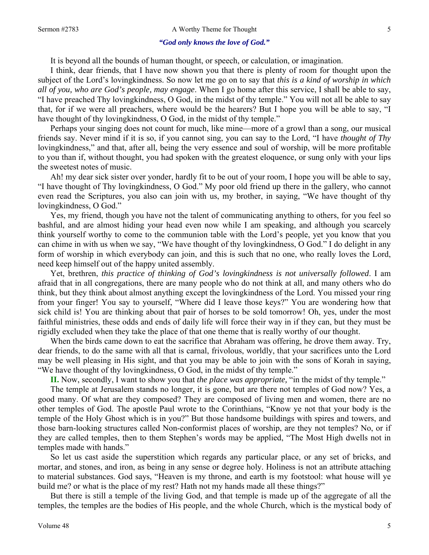#### *"God only knows the love of God."*

It is beyond all the bounds of human thought, or speech, or calculation, or imagination.

I think, dear friends, that I have now shown you that there is plenty of room for thought upon the subject of the Lord's lovingkindness. So now let me go on to say that *this is a kind of worship in which all of you, who are God's people, may engage*. When I go home after this service, I shall be able to say, "I have preached Thy lovingkindness, O God, in the midst of thy temple." You will not all be able to say that, for if we were all preachers, where would be the hearers? But I hope you will be able to say, "I have thought of thy loving kindness, O God, in the midst of thy temple."

Perhaps your singing does not count for much, like mine—more of a growl than a song, our musical friends say. Never mind if it is so, if you cannot sing, you can say to the Lord, "I have *thought of Thy* lovingkindness," and that, after all, being the very essence and soul of worship, will be more profitable to you than if, without thought, you had spoken with the greatest eloquence, or sung only with your lips the sweetest notes of music.

Ah! my dear sick sister over yonder, hardly fit to be out of your room, I hope you will be able to say, "I have thought of Thy lovingkindness, O God." My poor old friend up there in the gallery, who cannot even read the Scriptures, you also can join with us, my brother, in saying, "We have thought of thy lovingkindness, O God."

Yes, my friend, though you have not the talent of communicating anything to others, for you feel so bashful, and are almost hiding your head even now while I am speaking, and although you scarcely think yourself worthy to come to the communion table with the Lord's people, yet you know that you can chime in with us when we say, "We have thought of thy lovingkindness, O God." I do delight in any form of worship in which everybody can join, and this is such that no one, who really loves the Lord, need keep himself out of the happy united assembly.

Yet, brethren, *this practice of thinking of God's lovingkindness is not universally followed*. I am afraid that in all congregations, there are many people who do not think at all, and many others who do think, but they think about almost anything except the lovingkindness of the Lord. You missed your ring from your finger! You say to yourself, "Where did I leave those keys?" You are wondering how that sick child is! You are thinking about that pair of horses to be sold tomorrow! Oh, yes, under the most faithful ministries, these odds and ends of daily life will force their way in if they can, but they must be rigidly excluded when they take the place of that one theme that is really worthy of our thought.

When the birds came down to eat the sacrifice that Abraham was offering, he drove them away. Try, dear friends, to do the same with all that is carnal, frivolous, worldly, that your sacrifices unto the Lord may be well pleasing in His sight, and that you may be able to join with the sons of Korah in saying, "We have thought of thy lovingkindness, O God, in the midst of thy temple."

**II.** Now, secondly, I want to show you that *the place was appropriate,* "in the midst of thy temple."

The temple at Jerusalem stands no longer, it is gone, but are there not temples of God now? Yes, a good many. Of what are they composed? They are composed of living men and women, there are no other temples of God. The apostle Paul wrote to the Corinthians, "Know ye not that your body is the temple of the Holy Ghost which is in you?" But those handsome buildings with spires and towers, and those barn-looking structures called Non-conformist places of worship, are they not temples? No, or if they are called temples, then to them Stephen's words may be applied, "The Most High dwells not in temples made with hands."

So let us cast aside the superstition which regards any particular place, or any set of bricks, and mortar, and stones, and iron, as being in any sense or degree holy. Holiness is not an attribute attaching to material substances. God says, "Heaven is my throne, and earth is my footstool: what house will ye build me? or what is the place of my rest? Hath not my hands made all these things?"

But there is still a temple of the living God, and that temple is made up of the aggregate of all the temples, the temples are the bodies of His people, and the whole Church, which is the mystical body of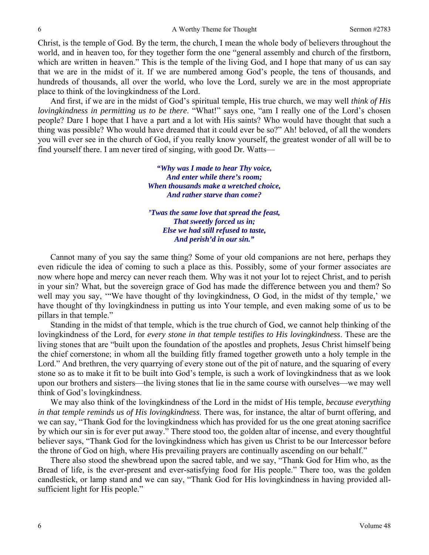Christ, is the temple of God. By the term, the church, I mean the whole body of believers throughout the world, and in heaven too, for they together form the one "general assembly and church of the firstborn, which are written in heaven." This is the temple of the living God, and I hope that many of us can say that we are in the midst of it. If we are numbered among God's people, the tens of thousands, and hundreds of thousands, all over the world, who love the Lord, surely we are in the most appropriate place to think of the lovingkindness of the Lord.

And first, if we are in the midst of God's spiritual temple, His true church, we may well *think of His lovingkindness in permitting us to be there*. "What!" says one, "am I really one of the Lord's chosen people? Dare I hope that I have a part and a lot with His saints? Who would have thought that such a thing was possible? Who would have dreamed that it could ever be so?" Ah! beloved, of all the wonders you will ever see in the church of God, if you really know yourself, the greatest wonder of all will be to find yourself there. I am never tired of singing, with good Dr. Watts—

> *"Why was I made to hear Thy voice, And enter while there's room; When thousands make a wretched choice, And rather starve than come?*

> *'Twas the same love that spread the feast, That sweetly forced us in; Else we had still refused to taste, And perish'd in our sin."*

Cannot many of you say the same thing? Some of your old companions are not here, perhaps they even ridicule the idea of coming to such a place as this. Possibly, some of your former associates are now where hope and mercy can never reach them. Why was it not your lot to reject Christ, and to perish in your sin? What, but the sovereign grace of God has made the difference between you and them? So well may you say, '"We have thought of thy lovingkindness, O God, in the midst of thy temple,' we have thought of thy lovingkindness in putting us into Your temple, and even making some of us to be pillars in that temple."

Standing in the midst of that temple, which is the true church of God, we cannot help thinking of the lovingkindness of the Lord, for *every stone in that temple testifies to His lovingkindness*. These are the living stones that are "built upon the foundation of the apostles and prophets, Jesus Christ himself being the chief cornerstone; in whom all the building fitly framed together groweth unto a holy temple in the Lord." And brethren, the very quarrying of every stone out of the pit of nature, and the squaring of every stone so as to make it fit to be built into God's temple, is such a work of lovingkindness that as we look upon our brothers and sisters—the living stones that lie in the same course with ourselves—we may well think of God's lovingkindness.

We may also think of the lovingkindness of the Lord in the midst of His temple, *because everything in that temple reminds us of His lovingkindness*. There was, for instance, the altar of burnt offering, and we can say, "Thank God for the lovingkindness which has provided for us the one great atoning sacrifice by which our sin is for ever put away." There stood too, the golden altar of incense, and every thoughtful believer says, "Thank God for the lovingkindness which has given us Christ to be our Intercessor before the throne of God on high, where His prevailing prayers are continually ascending on our behalf."

There also stood the shewbread upon the sacred table, and we say, "Thank God for Him who, as the Bread of life, is the ever-present and ever-satisfying food for His people." There too, was the golden candlestick, or lamp stand and we can say, "Thank God for His lovingkindness in having provided allsufficient light for His people."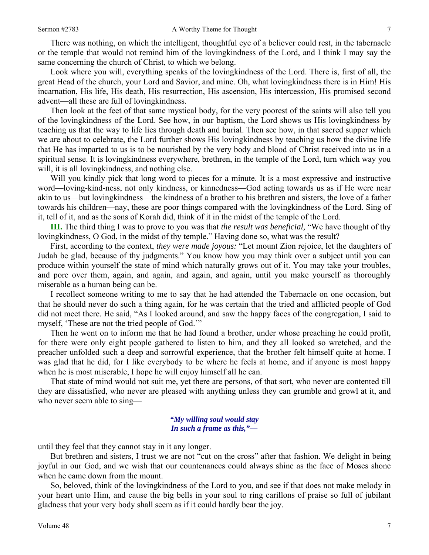There was nothing, on which the intelligent, thoughtful eye of a believer could rest, in the tabernacle or the temple that would not remind him of the lovingkindness of the Lord, and I think I may say the same concerning the church of Christ, to which we belong.

Look where you will, everything speaks of the lovingkindness of the Lord. There is, first of all, the great Head of the church, your Lord and Savior, and mine. Oh, what lovingkindness there is in Him! His incarnation, His life, His death, His resurrection, His ascension, His intercession, His promised second advent—all these are full of lovingkindness.

Then look at the feet of that same mystical body, for the very poorest of the saints will also tell you of the lovingkindness of the Lord. See how, in our baptism, the Lord shows us His lovingkindness by teaching us that the way to life lies through death and burial. Then see how, in that sacred supper which we are about to celebrate, the Lord further shows His lovingkindness by teaching us how the divine life that He has imparted to us is to be nourished by the very body and blood of Christ received into us in a spiritual sense. It is lovingkindness everywhere, brethren, in the temple of the Lord, turn which way you will, it is all loving kindness, and nothing else.

Will you kindly pick that long word to pieces for a minute. It is a most expressive and instructive word—loving-kind-ness, not only kindness, or kinnedness—God acting towards us as if He were near akin to us—but lovingkindness—the kindness of a brother to his brethren and sisters, the love of a father towards his children—nay, these are poor things compared with the lovingkindness of the Lord. Sing of it, tell of it, and as the sons of Korah did, think of it in the midst of the temple of the Lord.

**III.** The third thing I was to prove to you was that *the result was beneficial,* "We have thought of thy lovingkindness, O God, in the midst of thy temple." Having done so, what was the result?

First, according to the context, *they were made joyous:* "Let mount Zion rejoice, let the daughters of Judah be glad, because of thy judgments." You know how you may think over a subject until you can produce within yourself the state of mind which naturally grows out of it. You may take your troubles, and pore over them, again, and again, and again, and again, until you make yourself as thoroughly miserable as a human being can be.

I recollect someone writing to me to say that he had attended the Tabernacle on one occasion, but that he should never do such a thing again, for he was certain that the tried and afflicted people of God did not meet there. He said, "As I looked around, and saw the happy faces of the congregation, I said to myself, 'These are not the tried people of God.'"

Then he went on to inform me that he had found a brother, under whose preaching he could profit, for there were only eight people gathered to listen to him, and they all looked so wretched, and the preacher unfolded such a deep and sorrowful experience, that the brother felt himself quite at home. I was glad that he did, for I like everybody to be where he feels at home, and if anyone is most happy when he is most miserable, I hope he will enjoy himself all he can.

That state of mind would not suit me, yet there are persons, of that sort, who never are contented till they are dissatisfied, who never are pleased with anything unless they can grumble and growl at it, and who never seem able to sing—

### *"My willing soul would stay In such a frame as this,"—*

until they feel that they cannot stay in it any longer.

But brethren and sisters, I trust we are not "cut on the cross" after that fashion. We delight in being joyful in our God, and we wish that our countenances could always shine as the face of Moses shone when he came down from the mount.

So, beloved, think of the lovingkindness of the Lord to you, and see if that does not make melody in your heart unto Him, and cause the big bells in your soul to ring carillons of praise so full of jubilant gladness that your very body shall seem as if it could hardly bear the joy.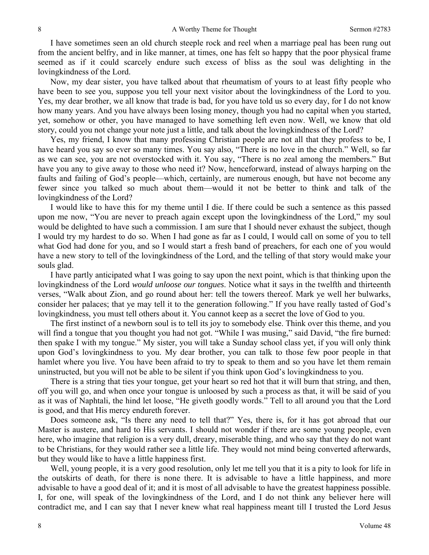I have sometimes seen an old church steeple rock and reel when a marriage peal has been rung out from the ancient belfry, and in like manner, at times, one has felt so happy that the poor physical frame seemed as if it could scarcely endure such excess of bliss as the soul was delighting in the lovingkindness of the Lord.

Now, my dear sister, you have talked about that rheumatism of yours to at least fifty people who have been to see you, suppose you tell your next visitor about the lovingkindness of the Lord to you. Yes, my dear brother, we all know that trade is bad, for you have told us so every day, for I do not know how many years. And you have always been losing money, though you had no capital when you started, yet, somehow or other, you have managed to have something left even now. Well, we know that old story, could you not change your note just a little, and talk about the lovingkindness of the Lord?

Yes, my friend, I know that many professing Christian people are not all that they profess to be, I have heard you say so ever so many times. You say also, "There is no love in the church." Well, so far as we can see, you are not overstocked with it. You say, "There is no zeal among the members." But have you any to give away to those who need it? Now, henceforward, instead of always harping on the faults and failing of God's people—which, certainly, are numerous enough, but have not become any fewer since you talked so much about them—would it not be better to think and talk of the lovingkindness of the Lord?

I would like to have this for my theme until I die. If there could be such a sentence as this passed upon me now, "You are never to preach again except upon the lovingkindness of the Lord," my soul would be delighted to have such a commission. I am sure that I should never exhaust the subject, though I would try my hardest to do so. When I had gone as far as I could, I would call on some of you to tell what God had done for you, and so I would start a fresh band of preachers, for each one of you would have a new story to tell of the lovingkindness of the Lord, and the telling of that story would make your souls glad.

I have partly anticipated what I was going to say upon the next point, which is that thinking upon the lovingkindness of the Lord *would unloose our tongues*. Notice what it says in the twelfth and thirteenth verses, "Walk about Zion, and go round about her: tell the towers thereof. Mark ye well her bulwarks, consider her palaces; that ye may tell it to the generation following." If you have really tasted of God's lovingkindness, you must tell others about it. You cannot keep as a secret the love of God to you.

The first instinct of a newborn soul is to tell its joy to somebody else. Think over this theme, and you will find a tongue that you thought you had not got. "While I was musing," said David, "the fire burned: then spake I with my tongue." My sister, you will take a Sunday school class yet, if you will only think upon God's lovingkindness to you. My dear brother, you can talk to those few poor people in that hamlet where you live. You have been afraid to try to speak to them and so you have let them remain uninstructed, but you will not be able to be silent if you think upon God's lovingkindness to you.

There is a string that ties your tongue, get your heart so red hot that it will burn that string, and then, off you will go, and when once your tongue is unloosed by such a process as that, it will be said of you as it was of Naphtali, the hind let loose, "He giveth goodly words." Tell to all around you that the Lord is good, and that His mercy endureth forever.

Does someone ask, "Is there any need to tell that?" Yes, there is, for it has got abroad that our Master is austere, and hard to His servants. I should not wonder if there are some young people, even here, who imagine that religion is a very dull, dreary, miserable thing, and who say that they do not want to be Christians, for they would rather see a little life. They would not mind being converted afterwards, but they would like to have a little happiness first.

Well, young people, it is a very good resolution, only let me tell you that it is a pity to look for life in the outskirts of death, for there is none there. It is advisable to have a little happiness, and more advisable to have a good deal of it; and it is most of all advisable to have the greatest happiness possible. I, for one, will speak of the lovingkindness of the Lord, and I do not think any believer here will contradict me, and I can say that I never knew what real happiness meant till I trusted the Lord Jesus